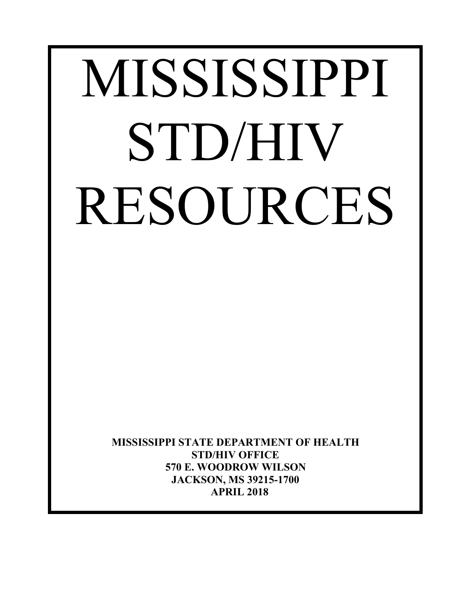# MISSISSIPPI STD/HIV RESOURCES

**MISSISSIPPI STATE DEPARTMENT OF HEALTH STD/HIV OFFICE 570 E. WOODROW WILSON JACKSON, MS 39215-1700 APRIL 2018**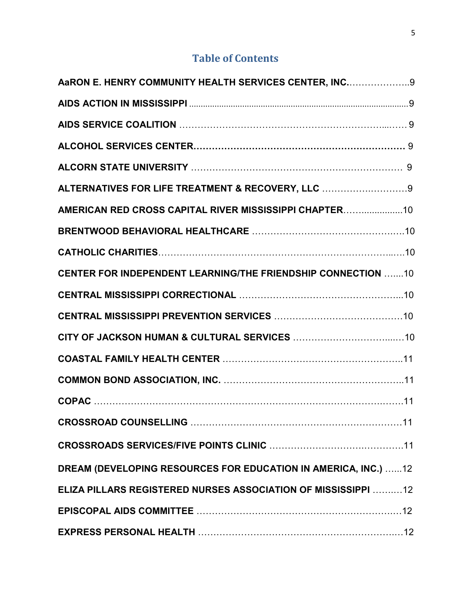# **Table of Contents**

| AaRON E. HENRY COMMUNITY HEALTH SERVICES CENTER, INC 9              |  |
|---------------------------------------------------------------------|--|
|                                                                     |  |
|                                                                     |  |
|                                                                     |  |
|                                                                     |  |
| ALTERNATIVES FOR LIFE TREATMENT & RECOVERY, LLC 9                   |  |
| AMERICAN RED CROSS CAPITAL RIVER MISSISSIPPI CHAPTER10              |  |
|                                                                     |  |
|                                                                     |  |
| <b>CENTER FOR INDEPENDENT LEARNING/THE FRIENDSHIP CONNECTION 10</b> |  |
|                                                                     |  |
|                                                                     |  |
|                                                                     |  |
|                                                                     |  |
|                                                                     |  |
|                                                                     |  |
|                                                                     |  |
|                                                                     |  |
| DREAM (DEVELOPING RESOURCES FOR EDUCATION IN AMERICA, INC.) 12      |  |
| ELIZA PILLARS REGISTERED NURSES ASSOCIATION OF MISSISSIPPI  12      |  |
|                                                                     |  |
|                                                                     |  |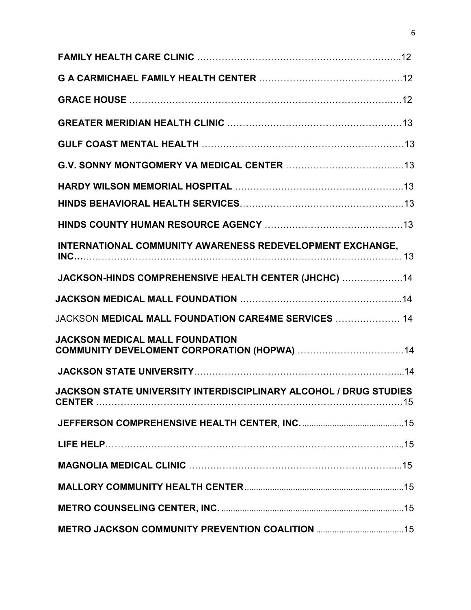| INTERNATIONAL COMMUNITY AWARENESS REDEVELOPMENT EXCHANGE,         |  |
|-------------------------------------------------------------------|--|
| JACKSON-HINDS COMPREHENSIVE HEALTH CENTER (JHCHC)  14             |  |
|                                                                   |  |
| JACKSON MEDICAL MALL FOUNDATION CARE4ME SERVICES  14              |  |
| <b>JACKSON MEDICAL MALL FOUNDATION</b>                            |  |
|                                                                   |  |
| JACKSON STATE UNIVERSITY INTERDISCIPLINARY ALCOHOL / DRUG STUDIES |  |
|                                                                   |  |
|                                                                   |  |
|                                                                   |  |
|                                                                   |  |
|                                                                   |  |
|                                                                   |  |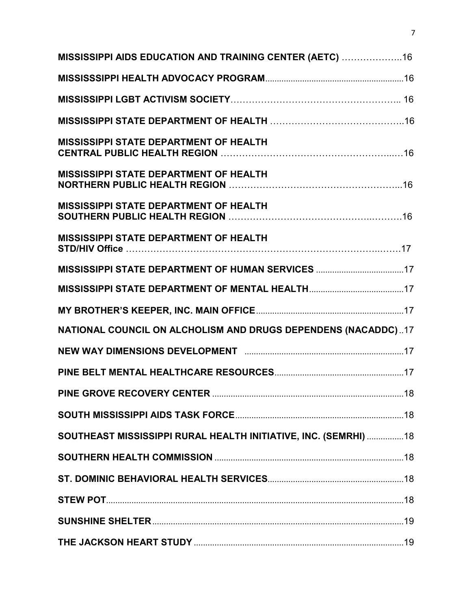| MISSISSIPPI AIDS EDUCATION AND TRAINING CENTER (AETC) 16        |  |
|-----------------------------------------------------------------|--|
|                                                                 |  |
|                                                                 |  |
|                                                                 |  |
| <b>MISSISSIPPI STATE DEPARTMENT OF HEALTH</b>                   |  |
| MISSISSIPPI STATE DEPARTMENT OF HEALTH                          |  |
| <b>MISSISSIPPI STATE DEPARTMENT OF HEALTH</b>                   |  |
| <b>MISSISSIPPI STATE DEPARTMENT OF HEALTH</b>                   |  |
| MISSISSIPPI STATE DEPARTMENT OF HUMAN SERVICES 17               |  |
|                                                                 |  |
|                                                                 |  |
| NATIONAL COUNCIL ON ALCHOLISM AND DRUGS DEPENDENS (NACADDC)17   |  |
|                                                                 |  |
|                                                                 |  |
|                                                                 |  |
|                                                                 |  |
| SOUTHEAST MISSISSIPPI RURAL HEALTH INITIATIVE, INC. (SEMRHI) 18 |  |
|                                                                 |  |
|                                                                 |  |
|                                                                 |  |
|                                                                 |  |
|                                                                 |  |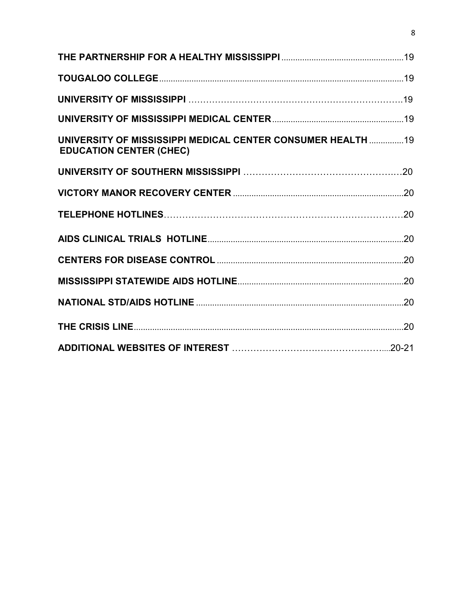| UNIVERSITY OF MISSISSIPPI MEDICAL CENTER CONSUMER HEALTH  19<br><b>EDUCATION CENTER (CHEC)</b> |  |
|------------------------------------------------------------------------------------------------|--|
|                                                                                                |  |
|                                                                                                |  |
|                                                                                                |  |
|                                                                                                |  |
|                                                                                                |  |
|                                                                                                |  |
|                                                                                                |  |
|                                                                                                |  |
|                                                                                                |  |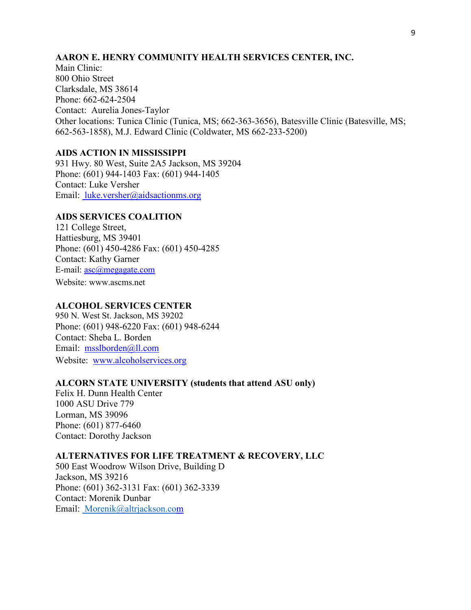#### **AARON E. HENRY COMMUNITY HEALTH SERVICES CENTER, INC.**

Main Clinic: 800 Ohio Street Clarksdale, MS 38614 Phone: 662-624-2504 Contact: Aurelia Jones-Taylor Other locations: Tunica Clinic (Tunica, MS; 662-363-3656), Batesville Clinic (Batesville, MS; 662-563-1858), M.J. Edward Clinic (Coldwater, MS 662-233-5200)

# **AIDS ACTION IN MISSISSIPPI**

931 Hwy. 80 West, Suite 2A5 Jackson, MS 39204 Phone: (601) 944-1403 Fax: (601) 944-1405 Contact: Luke Versher Email: luke.versher@aidsactionms.org

# **AIDS SERVICES COALITION**

121 College Street, Hattiesburg, MS 39401 Phone: (601) 450-4286 Fax: (601) 450-4285 Contact: Kathy Garner E-mail: asc@megagate.com

Website: www.ascms.net

# **ALCOHOL SERVICES CENTER**

950 N. West St. Jackson, MS 39202 Phone: (601) 948-6220 Fax: (601) 948-6244 Contact: Sheba L. Borden Email: msslborden@ll.com Website:www.alcoholservices.org

#### **ALCORN STATE UNIVERSITY (students that attend ASU only)**

Felix H. Dunn Health Center 1000 ASU Drive 779 Lorman, MS 39096 Phone: (601) 877-6460 Contact: Dorothy Jackson

#### **ALTERNATIVES FOR LIFE TREATMENT & RECOVERY, LLC**

500 East Woodrow Wilson Drive, Building D Jackson, MS 39216 Phone: (601) 362-3131 Fax: (601) 362-3339 Contact: Morenik Dunbar Email: Morenik@altrjackson.com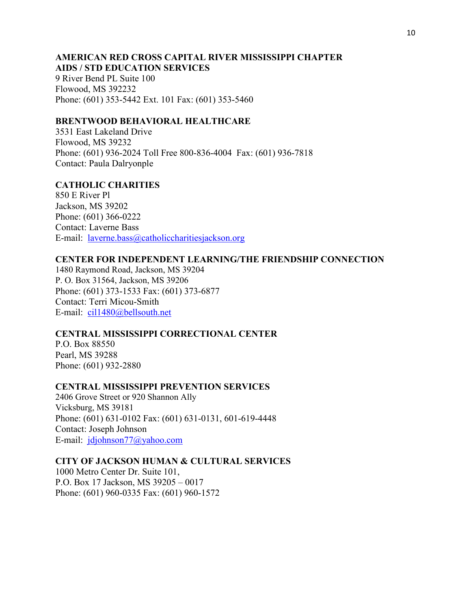#### **AMERICAN RED CROSS CAPITAL RIVER MISSISSIPPI CHAPTER AIDS / STD EDUCATION SERVICES**

9 River Bend PL Suite 100 Flowood, MS 392232 Phone: (601) 353-5442 Ext. 101 Fax: (601) 353-5460

# **BRENTWOOD BEHAVIORAL HEALTHCARE**

3531 East Lakeland Drive Flowood, MS 39232 Phone: (601) 936-2024 Toll Free 800-836-4004 Fax: (601) 936-7818 Contact: Paula Dalryonple

# **CATHOLIC CHARITIES**

850 E River Pl Jackson, MS 39202 Phone: (601) 366-0222 Contact: Laverne Bass E-mail: laverne.bass@catholiccharitiesjackson.org

# **CENTER FOR INDEPENDENT LEARNING/THE FRIENDSHIP CONNECTION**

1480 Raymond Road, Jackson, MS 39204 P. O. Box 31564, Jackson, MS 39206 Phone: (601) 373-1533 Fax: (601) 373-6877 Contact: Terri Micou-Smith E-mail: cil1480@bellsouth.net

# **CENTRAL MISSISSIPPI CORRECTIONAL CENTER**

P.O. Box 88550 Pearl, MS 39288 Phone: (601) 932-2880

# **CENTRAL MISSISSIPPI PREVENTION SERVICES**

2406 Grove Street or 920 Shannon Ally Vicksburg, MS 39181 Phone: (601) 631-0102 Fax: (601) 631-0131, 601-619-4448 Contact: Joseph Johnson E-mail: jdjohnson77@yahoo.com

# **CITY OF JACKSON HUMAN & CULTURAL SERVICES**

1000 Metro Center Dr. Suite 101, P.O. Box 17 Jackson, MS 39205 – 0017 Phone: (601) 960-0335 Fax: (601) 960-1572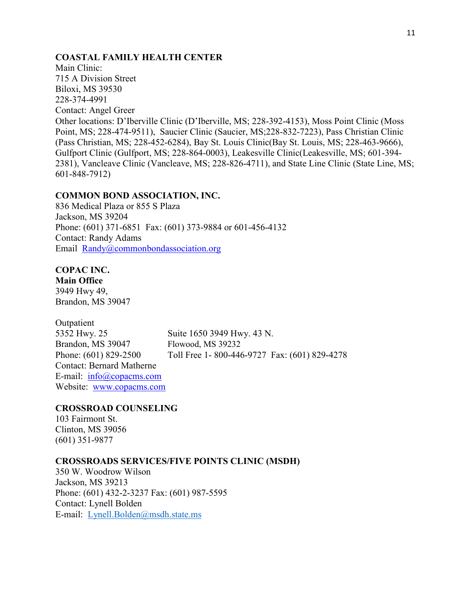# **COASTAL FAMILY HEALTH CENTER**

Main Clinic: 715 A Division Street Biloxi, MS 39530 228-374-4991 Contact: Angel Greer Other locations: D'Iberville Clinic (D'Iberville, MS; 228-392-4153), Moss Point Clinic (Moss Point, MS; 228-474-9511), Saucier Clinic (Saucier, MS;228-832-7223), Pass Christian Clinic (Pass Christian, MS; 228-452-6284), Bay St. Louis Clinic(Bay St. Louis, MS; 228-463-9666), Gulfport Clinic (Gulfport, MS; 228-864-0003), Leakesville Clinic(Leakesville, MS; 601-394- 2381), Vancleave Clinic (Vancleave, MS; 228-826-4711), and State Line Clinic (State Line, MS; 601-848-7912)

#### **COMMON BOND ASSOCIATION, INC.**

836 Medical Plaza or 855 S Plaza Jackson, MS 39204 Phone: (601) 371-6851 Fax: (601) 373-9884 or 601-456-4132 Contact: Randy Adams Email Randy@commonbondassociation.org

# **COPAC INC.**

**Main Office**  3949 Hwy 49, Brandon, MS 39047

Outpatient 5352 Hwy. 25 Suite 1650 3949 Hwy. 43 N. Brandon, MS 39047 Flowood, MS 39232 Contact: Bernard Matherne E-mail: info@copacms.com Website: www.copacms.com

Phone: (601) 829-2500 Toll Free 1- 800-446-9727 Fax: (601) 829-4278

# **CROSSROAD COUNSELING**

103 Fairmont St. Clinton, MS 39056 (601) 351-9877

#### **CROSSROADS SERVICES/FIVE POINTS CLINIC (MSDH)**

350 W. Woodrow Wilson Jackson, MS 39213 Phone: (601) 432-2-3237 Fax: (601) 987-5595 Contact: Lynell Bolden E-mail: Lynell.Bolden@msdh.state.ms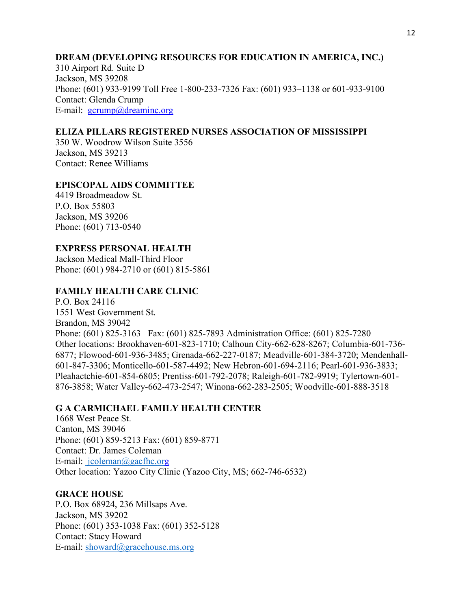# **DREAM (DEVELOPING RESOURCES FOR EDUCATION IN AMERICA, INC.)**

310 Airport Rd. Suite D Jackson, MS 39208 Phone: (601) 933-9199 Toll Free 1-800-233-7326 Fax: (601) 933–1138 or 601-933-9100 Contact: Glenda Crump E-mail:  $gerump@dreaminc.org$ 

# **ELIZA PILLARS REGISTERED NURSES ASSOCIATION OF MISSISSIPPI**

350 W. Woodrow Wilson Suite 3556 Jackson, MS 39213 Contact: Renee Williams

#### **EPISCOPAL AIDS COMMITTEE**

4419 Broadmeadow St. P.O. Box 55803 Jackson, MS 39206 Phone: (601) 713-0540

#### **EXPRESS PERSONAL HEALTH**

Jackson Medical Mall-Third Floor Phone: (601) 984-2710 or (601) 815-5861

#### **FAMILY HEALTH CARE CLINIC**

P.O. Box 24116 1551 West Government St. Brandon, MS 39042 Phone: (601) 825-3163 Fax: (601) 825-7893 Administration Office: (601) 825-7280 Other locations: Brookhaven-601-823-1710; Calhoun City-662-628-8267; Columbia-601-736- 6877; Flowood-601-936-3485; Grenada-662-227-0187; Meadville-601-384-3720; Mendenhall-601-847-3306; Monticello-601-587-4492; New Hebron-601-694-2116; Pearl-601-936-3833; Pleahactchie-601-854-6805; Prentiss-601-792-2078; Raleigh-601-782-9919; Tylertown-601- 876-3858; Water Valley-662-473-2547; Winona-662-283-2505; Woodville-601-888-3518

# **G A CARMICHAEL FAMILY HEALTH CENTER**

1668 West Peace St. Canton, MS 39046 Phone: (601) 859-5213 Fax: (601) 859-8771 Contact: Dr. James Coleman E-mail: jcoleman@gacfhc.org Other location: Yazoo City Clinic (Yazoo City, MS; 662-746-6532)

#### **GRACE HOUSE**

P.O. Box 68924, 236 Millsaps Ave. Jackson, MS 39202 Phone: (601) 353-1038 Fax: (601) 352-5128 Contact: Stacy Howard E-mail: showard@gracehouse.ms.org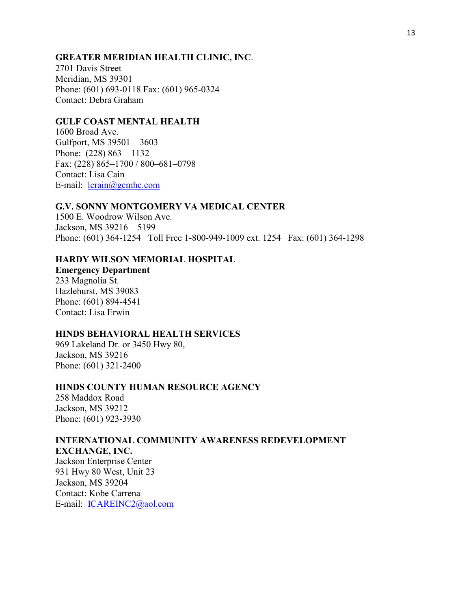# **GREATER MERIDIAN HEALTH CLINIC, INC**.

2701 Davis Street Meridian, MS 39301 Phone: (601) 693-0118 Fax: (601) 965-0324 Contact: Debra Graham

#### **GULF COAST MENTAL HEALTH**

1600 Broad Ave. Gulfport, MS 39501 – 3603 Phone: (228) 863 – 1132 Fax: (228) 865–1700 / 800–681–0798 Contact: Lisa Cain E-mail: lcrain@gcmhc.com

#### **G.V. SONNY MONTGOMERY VA MEDICAL CENTER**

1500 E. Woodrow Wilson Ave. Jackson, MS 39216 – 5199 Phone: (601) 364-1254 Toll Free 1-800-949-1009 ext. 1254 Fax: (601) 364-1298

# **HARDY WILSON MEMORIAL HOSPITAL**

**Emergency Department** 233 Magnolia St. Hazlehurst, MS 39083 Phone: (601) 894-4541 Contact: Lisa Erwin

#### **HINDS BEHAVIORAL HEALTH SERVICES**

969 Lakeland Dr. or 3450 Hwy 80, Jackson, MS 39216 Phone: (601) 321-2400

#### **HINDS COUNTY HUMAN RESOURCE AGENCY**

258 Maddox Road Jackson, MS 39212 Phone: (601) 923-3930

#### **INTERNATIONAL COMMUNITY AWARENESS REDEVELOPMENT EXCHANGE, INC.**

Jackson Enterprise Center 931 Hwy 80 West, Unit 23 Jackson, MS 39204 Contact: Kobe Carrena E-mail: ICAREINC2@aol.com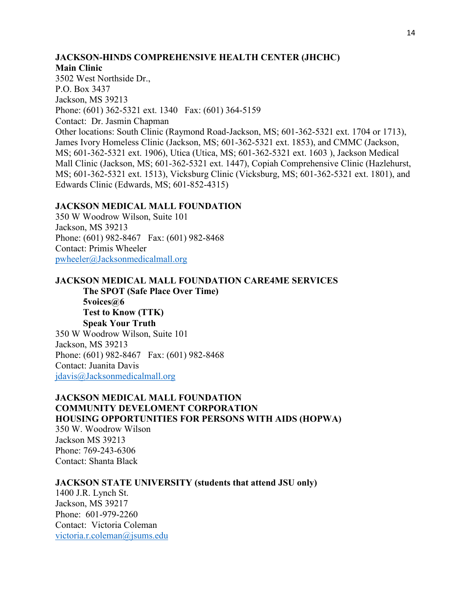# **JACKSON-HINDS COMPREHENSIVE HEALTH CENTER (JHCHC)**

#### **Main Clinic**

3502 West Northside Dr., P.O. Box 3437 Jackson, MS 39213 Phone: (601) 362-5321 ext. 1340 Fax: (601) 364-5159 Contact: Dr. Jasmin Chapman Other locations: South Clinic (Raymond Road-Jackson, MS; 601-362-5321 ext. 1704 or 1713), James Ivory Homeless Clinic (Jackson, MS; 601-362-5321 ext. 1853), and CMMC (Jackson, MS; 601-362-5321 ext. 1906), Utica (Utica, MS; 601-362-5321 ext. 1603 ), Jackson Medical Mall Clinic (Jackson, MS; 601-362-5321 ext. 1447), Copiah Comprehensive Clinic (Hazlehurst, MS; 601-362-5321 ext. 1513), Vicksburg Clinic (Vicksburg, MS; 601-362-5321 ext. 1801), and Edwards Clinic (Edwards, MS; 601-852-4315)

#### **JACKSON MEDICAL MALL FOUNDATION**

350 W Woodrow Wilson, Suite 101 Jackson, MS 39213 Phone: (601) 982-8467 Fax: (601) 982-8468 Contact: Primis Wheeler pwheeler@Jacksonmedicalmall.org

# **JACKSON MEDICAL MALL FOUNDATION CARE4ME SERVICES**

**The SPOT (Safe Place Over Time) 5voices@6 Test to Know (TTK) Speak Your Truth**  350 W Woodrow Wilson, Suite 101 Jackson, MS 39213 Phone: (601) 982-8467 Fax: (601) 982-8468 Contact: Juanita Davis jdavis@Jacksonmedicalmall.org

# **JACKSON MEDICAL MALL FOUNDATION COMMUNITY DEVELOMENT CORPORATION HOUSING OPPORTUNITIES FOR PERSONS WITH AIDS (HOPWA)**

350 W. Woodrow Wilson Jackson MS 39213 Phone: 769-243-6306 Contact: Shanta Black

# **JACKSON STATE UNIVERSITY (students that attend JSU only)**

1400 J.R. Lynch St. Jackson, MS 39217 Phone: 601-979-2260 Contact: Victoria Coleman victoria.r.coleman@jsums.edu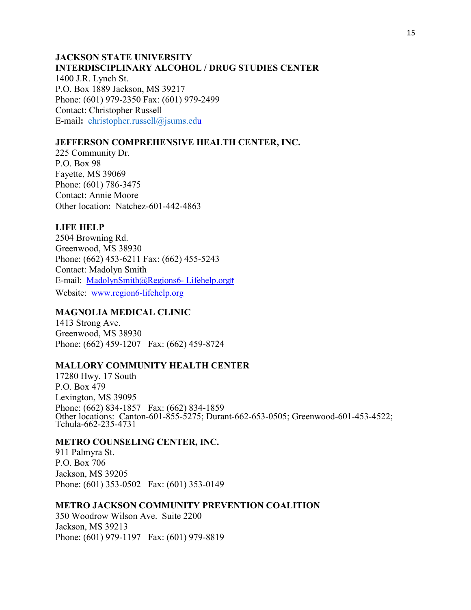#### **JACKSON STATE UNIVERSITY INTERDISCIPLINARY ALCOHOL / DRUG STUDIES CENTER**

1400 J.R. Lynch St. P.O. Box 1889 Jackson, MS 39217 Phone: (601) 979-2350 Fax: (601) 979-2499 Contact: Christopher Russell E-mail**:** christopher.russell@jsums.edu

# **JEFFERSON COMPREHENSIVE HEALTH CENTER, INC.**

225 Community Dr. P.O. Box 98 Fayette, MS 39069 Phone: (601) 786-3475 Contact: Annie Moore Other location: Natchez-601-442-4863

# **LIFE HELP**

2504 Browning Rd. Greenwood, MS 38930 Phone: (662) 453-6211 Fax: (662) 455-5243 Contact: Madolyn Smith E-mail: MadolynSmith@Regions6- Lifehelp.orgif Website: www.region6-lifehelp.org

# **MAGNOLIA MEDICAL CLINIC**

1413 Strong Ave. Greenwood, MS 38930 Phone: (662) 459-1207 Fax: (662) 459-8724

#### **MALLORY COMMUNITY HEALTH CENTER**

17280 Hwy. 17 South P.O. Box 479 Lexington, MS 39095 Phone: (662) 834-1857 Fax: (662) 834-1859 Other locations: Canton-601-855-5275; Durant-662-653-0505; Greenwood-601-453-4522; Tchula-662-235-4731

#### **METRO COUNSELING CENTER, INC.**

911 Palmyra St. P.O. Box 706 Jackson, MS 39205 Phone: (601) 353-0502 Fax: (601) 353-0149

# **METRO JACKSON COMMUNITY PREVENTION COALITION**

350 Woodrow Wilson Ave. Suite 2200 Jackson, MS 39213 Phone: (601) 979-1197 Fax: (601) 979-8819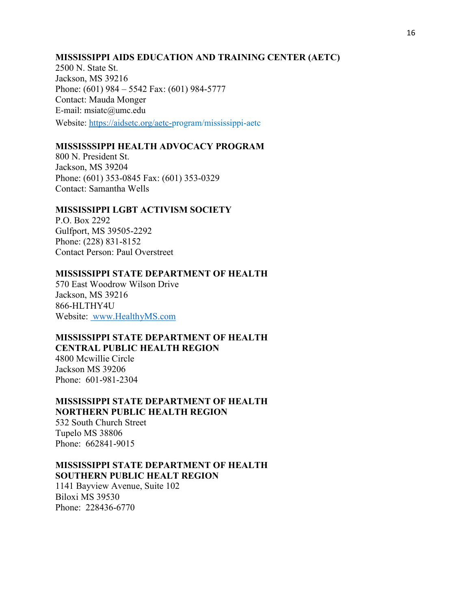#### **MISSISSIPPI AIDS EDUCATION AND TRAINING CENTER (AETC)**

2500 N. State St. Jackson, MS 39216 Phone: (601) 984 – 5542 Fax: (601) 984-5777 Contact: Mauda Monger E-mail: msiatc@umc.edu Website: https://aidsetc.org/aetc-program/mississippi-aetc

# **MISSISSSIPPI HEALTH ADVOCACY PROGRAM**

800 N. President St. Jackson, MS 39204 Phone: (601) 353-0845 Fax: (601) 353-0329 Contact: Samantha Wells

# **MISSISSIPPI LGBT ACTIVISM SOCIETY**

P.O. Box 2292 Gulfport, MS 39505-2292 Phone: (228) 831-8152 Contact Person: Paul Overstreet

# **MISSISSIPPI STATE DEPARTMENT OF HEALTH**

570 East Woodrow Wilson Drive Jackson, MS 39216 866-HLTHY4U Website: www.HealthyMS.com

# **MISSISSIPPI STATE DEPARTMENT OF HEALTH CENTRAL PUBLIC HEALTH REGION**

4800 Mcwillie Circle Jackson MS 39206 Phone: 601-981-2304

#### **MISSISSIPPI STATE DEPARTMENT OF HEALTH NORTHERN PUBLIC HEALTH REGION**

532 South Church Street Tupelo MS 38806 Phone: 662841-9015

# **MISSISSIPPI STATE DEPARTMENT OF HEALTH SOUTHERN PUBLIC HEALT REGION**

1141 Bayview Avenue, Suite 102 Biloxi MS 39530 Phone: 228436-6770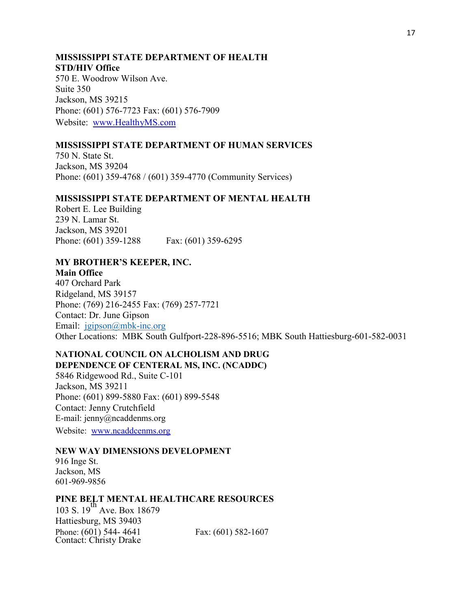# **MISSISSIPPI STATE DEPARTMENT OF HEALTH STD/HIV Office**

570 E. Woodrow Wilson Ave. Suite 350 Jackson, MS 39215 Phone: (601) 576-7723 Fax: (601) 576-7909 Website:www.HealthyMS.com

#### **MISSISSIPPI STATE DEPARTMENT OF HUMAN SERVICES**

750 N. State St. Jackson, MS 39204 Phone: (601) 359-4768 / (601) 359-4770 (Community Services)

#### **MISSISSIPPI STATE DEPARTMENT OF MENTAL HEALTH**

Robert E. Lee Building 239 N. Lamar St. Jackson, MS 39201 Phone: (601) 359-1288 Fax: (601) 359-6295

#### **MY BROTHER'S KEEPER, INC. Main Office**

407 Orchard Park Ridgeland, MS 39157 Phone: (769) 216-2455 Fax: (769) 257-7721 Contact: Dr. June Gipson Email: jgipson@mbk-inc.org Other Locations: MBK South Gulfport-228-896-5516; MBK South Hattiesburg-601-582-0031

#### **NATIONAL COUNCIL ON ALCHOLISM AND DRUG DEPENDENCE OF CENTERAL MS, INC. (NCADDC)**

5846 Ridgewood Rd., Suite C-101 Jackson, MS 39211 Phone: (601) 899-5880 Fax: (601) 899-5548 Contact: Jenny Crutchfield E-mail: jenny@ncaddenms.org

Website: www.ncaddcenms.org

#### **NEW WAY DIMENSIONS DEVELOPMENT**

916 Inge St. Jackson, MS 601-969-9856

#### **PINE BELT MENTAL HEALTHCARE RESOURCES**

103 S. 19<sup>th</sup> Ave. Box 18679 Hattiesburg, MS 39403 Phone: (601) 544-4641 Fax: (601) 582-1607 Contact: Christy Drake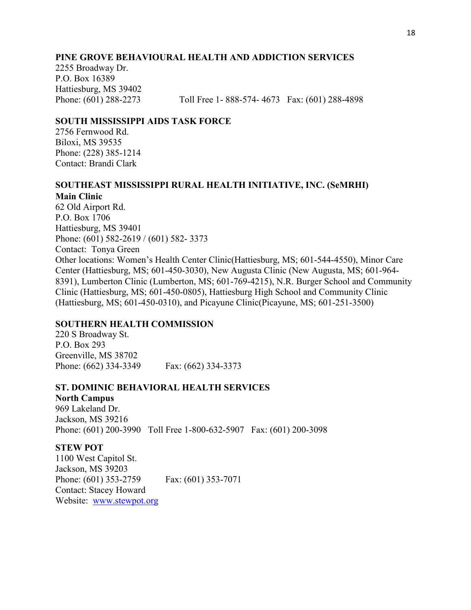#### **PINE GROVE BEHAVIOURAL HEALTH AND ADDICTION SERVICES**

2255 Broadway Dr. P.O. Box 16389 Hattiesburg, MS 39402

Phone: (601) 288-2273 Toll Free 1- 888-574- 4673 Fax: (601) 288-4898

#### **SOUTH MISSISSIPPI AIDS TASK FORCE**

2756 Fernwood Rd. Biloxi, MS 39535 Phone: (228) 385-1214 Contact: Brandi Clark

#### **SOUTHEAST MISSISSIPPI RURAL HEALTH INITIATIVE, INC. (SeMRHI)**

#### **Main Clinic**

62 Old Airport Rd. P.O. Box 1706 Hattiesburg, MS 39401 Phone: (601) 582-2619 / (601) 582- 3373 Contact: Tonya Green Other locations: Women's Health Center Clinic(Hattiesburg, MS; 601-544-4550), Minor Care Center (Hattiesburg, MS; 601-450-3030), New Augusta Clinic (New Augusta, MS; 601-964- 8391), Lumberton Clinic (Lumberton, MS; 601-769-4215), N.R. Burger School and Community Clinic (Hattiesburg, MS; 601-450-0805), Hattiesburg High School and Community Clinic (Hattiesburg, MS; 601-450-0310), and Picayune Clinic(Picayune, MS; 601-251-3500)

#### **SOUTHERN HEALTH COMMISSION**

220 S Broadway St. P.O. Box 293 Greenville, MS 38702 Phone: (662) 334-3349 Fax: (662) 334-3373

#### **ST. DOMINIC BEHAVIORAL HEALTH SERVICES**

**North Campus** 969 Lakeland Dr. Jackson, MS 39216 Phone: (601) 200-3990 Toll Free 1-800-632-5907 Fax: (601) 200-3098

#### **STEW POT**

1100 West Capitol St. Jackson, MS 39203 Phone: (601) 353-2759 Fax: (601) 353-7071 Contact: Stacey Howard Website:www.stewpot.org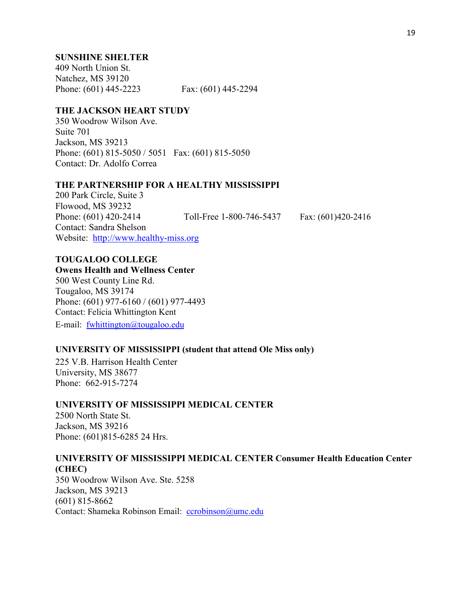#### **SUNSHINE SHELTER**

409 North Union St. Natchez, MS 39120 Phone: (601) 445-2223 Fax: (601) 445-2294

# **THE JACKSON HEART STUDY**

350 Woodrow Wilson Ave. Suite 701 Jackson, MS 39213 Phone: (601) 815-5050 / 5051 Fax: (601) 815-5050 Contact: Dr. Adolfo Correa

#### **THE PARTNERSHIP FOR A HEALTHY MISSISSIPPI**

200 Park Circle, Suite 3 Flowood, MS 39232 Phone: (601) 420-2414 Toll-Free 1-800-746-5437 Fax: (601)420-2416 Contact: Sandra Shelson Website: http://www.healthy-miss.org

# **TOUGALOO COLLEGE**

#### **Owens Health and Wellness Center**

500 West County Line Rd. Tougaloo, MS 39174 Phone: (601) 977-6160 / (601) 977-4493 Contact: Felicia Whittington Kent E-mail: fwhittington@tougaloo.edu

#### **UNIVERSITY OF MISSISSIPPI (student that attend Ole Miss only)**

225 V.B. Harrison Health Center University, MS 38677 Phone: 662-915-7274

#### **UNIVERSITY OF MISSISSIPPI MEDICAL CENTER**

2500 North State St. Jackson, MS 39216 Phone: (601)815-6285 24 Hrs.

# **UNIVERSITY OF MISSISSIPPI MEDICAL CENTER Consumer Health Education Center (CHEC)**

350 Woodrow Wilson Ave. Ste. 5258 Jackson, MS 39213 (601) 815-8662 Contact: Shameka Robinson Email: ccrobinson@umc.edu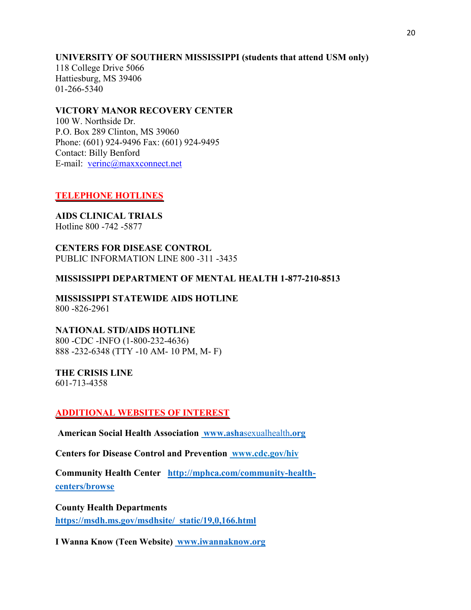# **UNIVERSITY OF SOUTHERN MISSISSIPPI (students that attend USM only)**

118 College Drive 5066 Hattiesburg, MS 39406 01-266-5340

# **VICTORY MANOR RECOVERY CENTER**

100 W. Northside Dr. P.O. Box 289 Clinton, MS 39060 Phone: (601) 924-9496 Fax: (601) 924-9495 Contact: Billy Benford E-mail: verinc@maxxconnect.net

# **TELEPHONE HOTLINES**

**AIDS CLINICAL TRIALS** Hotline 800 -742 -5877

**CENTERS FOR DISEASE CONTROL** PUBLIC INFORMATION LINE 800 -311 -3435

#### **MISSISSIPPI DEPARTMENT OF MENTAL HEALTH 1-877-210-8513**

**MISSISSIPPI STATEWIDE AIDS HOTLINE** 800 -826-2961

# **NATIONAL STD/AIDS HOTLINE**

800 -CDC -INFO (1-800-232-4636) 888 -232-6348 (TTY -10 AM- 10 PM, M- F)

# **THE CRISIS LINE**

601-713-4358

#### **ADDITIONAL WEBSITES OF INTEREST**

**American Social Health Association www.asha**sexualhealth**.org**

**Centers for Disease Control and Prevention www.cdc.gov/hiv**

**Community Health Center http://mphca.com/community-healthcenters/browse**

**County Health Departments https://msdh.ms.gov/msdhsite/\_static/19,0,166.html**

**I Wanna Know (Teen Website) www.iwannaknow.org**